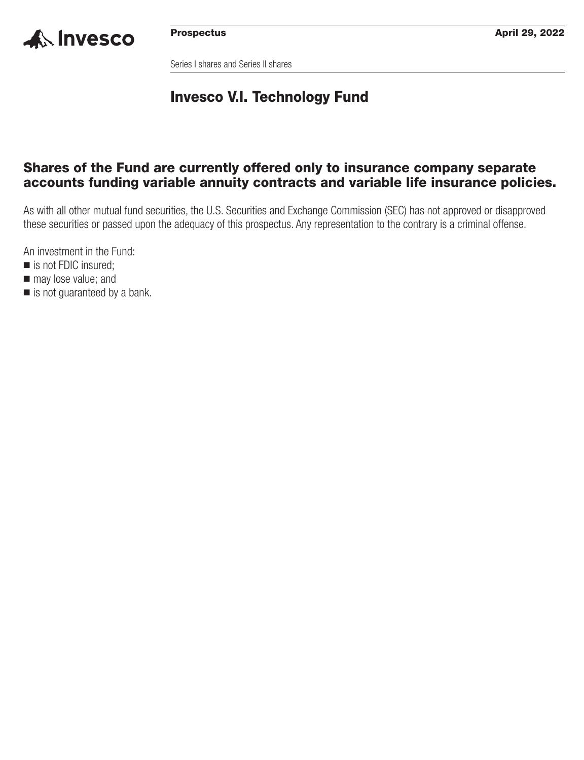

Series I shares and Series II shares

## **Invesco V.I. Technology Fund**

## **Shares of the Fund are currently offered only to insurance company separate accounts funding variable annuity contracts and variable life insurance policies.**

As with all other mutual fund securities, the U.S. Securities and Exchange Commission (SEC) has not approved or disapproved these securities or passed upon the adequacy of this prospectus. Any representation to the contrary is a criminal offense.

An investment in the Fund:

- is not FDIC insured;
- $\blacksquare$  may lose value; and
- is not guaranteed by a bank.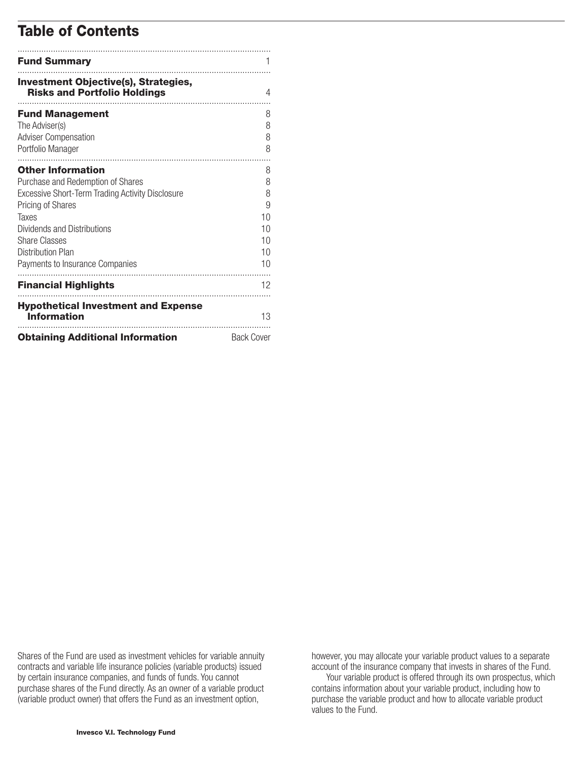## **Table of Contents**

| <b>Fund Summary</b>                                                                          |                   |
|----------------------------------------------------------------------------------------------|-------------------|
| <b>Investment Objective(s), Strategies,</b><br><b>Risks and Portfolio Holdings</b>           | 4                 |
| <b>Fund Management</b><br>The Adviser(s)<br><b>Adviser Compensation</b><br>Portfolio Manager | 8<br>8<br>8<br>8  |
| <b>Other Information</b>                                                                     | 8                 |
| Purchase and Redemption of Shares                                                            | 8                 |
| Excessive Short-Term Trading Activity Disclosure                                             | 8                 |
| <b>Pricing of Shares</b><br>Taxes                                                            | 9<br>10           |
| Dividends and Distributions                                                                  | 10                |
| <b>Share Classes</b>                                                                         | 10                |
| <b>Distribution Plan</b>                                                                     | 10                |
| Payments to Insurance Companies                                                              | 10                |
| <b>Financial Highlights</b>                                                                  | 12                |
| <b>Hypothetical Investment and Expense</b><br><b>Information</b>                             | 13                |
| <b>Obtaining Additional Information</b>                                                      | <b>Back Cover</b> |

Shares of the Fund are used as investment vehicles for variable annuity contracts and variable life insurance policies (variable products) issued by certain insurance companies, and funds of funds. You cannot purchase shares of the Fund directly. As an owner of a variable product (variable product owner) that offers the Fund as an investment option,

however, you may allocate your variable product values to a separate account of the insurance company that invests in shares of the Fund.

Your variable product is offered through its own prospectus, which contains information about your variable product, including how to purchase the variable product and how to allocate variable product values to the Fund.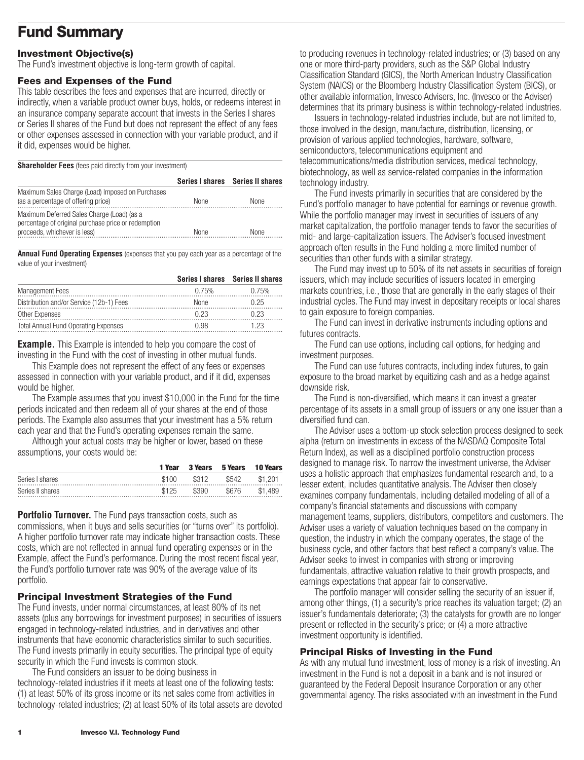## <span id="page-2-0"></span>**Fund Summary**

### **Investment Objective(s)**

The Fund's investment objective is long-term growth of capital.

### **Fees and Expenses of the Fund**

This table describes the fees and expenses that are incurred, directly or indirectly, when a variable product owner buys, holds, or redeems interest in an insurance company separate account that invests in the Series I shares or Series II shares of the Fund but does not represent the effect of any fees or other expenses assessed in connection with your variable product, and if it did, expenses would be higher.

**Shareholder Fees** (fees paid directly from your investment)

|                                                                                                                                   |             | Series I shares Series II shares |
|-----------------------------------------------------------------------------------------------------------------------------------|-------------|----------------------------------|
| Maximum Sales Charge (Load) Imposed on Purchases<br>(as a percentage of offering price)                                           | <b>None</b> | None                             |
| Maximum Deferred Sales Charge (Load) (as a<br>percentage of original purchase price or redemption<br>proceeds, whichever is less) | <b>None</b> | None                             |

**Annual Fund Operating Expenses** (expenses that you pay each year as a percentage of the value of your investment)

|                                             |       | Series I shares Series II shares |
|---------------------------------------------|-------|----------------------------------|
| <b>Management Fees</b>                      | 0.75% | በ 75%                            |
| Distribution and/or Service (12b-1) Fees    | None  | ገ 25                             |
| Other Expenses                              | በ 23  |                                  |
| <b>Total Annual Fund Operating Expenses</b> | +1.98 | .23                              |

**Example.** This Example is intended to help you compare the cost of investing in the Fund with the cost of investing in other mutual funds.

This Example does not represent the effect of any fees or expenses assessed in connection with your variable product, and if it did, expenses would be higher.

The Example assumes that you invest \$10,000 in the Fund for the time periods indicated and then redeem all of your shares at the end of those periods. The Example also assumes that your investment has a 5% return each year and that the Fund's operating expenses remain the same.

Although your actual costs may be higher or lower, based on these assumptions, your costs would be:

|                     | 1 Year |       | 3 Years 5 Years 10 Years |         |
|---------------------|--------|-------|--------------------------|---------|
| Series I shares<br> | \$100  | \$312 | \$542                    | \$1.201 |
| Series II shares    | \$125  | \$390 | \$676                    | \$1.489 |

**Portfolio Turnover.** The Fund pays transaction costs, such as commissions, when it buys and sells securities (or "turns over" its portfolio). A higher portfolio turnover rate may indicate higher transaction costs. These costs, which are not reflected in annual fund operating expenses or in the Example, affect the Fund's performance. During the most recent fiscal year, the Fund's portfolio turnover rate was 90% of the average value of its portfolio.

### **Principal Investment Strategies of the Fund**

The Fund invests, under normal circumstances, at least 80% of its net assets (plus any borrowings for investment purposes) in securities of issuers engaged in technology-related industries, and in derivatives and other instruments that have economic characteristics similar to such securities. The Fund invests primarily in equity securities. The principal type of equity security in which the Fund invests is common stock.

The Fund considers an issuer to be doing business in technology-related industries if it meets at least one of the following tests: (1) at least 50% of its gross income or its net sales come from activities in technology-related industries; (2) at least 50% of its total assets are devoted to producing revenues in technology-related industries; or (3) based on any one or more third-party providers, such as the S&P Global Industry Classification Standard (GICS), the North American Industry Classification System (NAICS) or the Bloomberg Industry Classification System (BICS), or other available information, Invesco Advisers, Inc. (Invesco or the Adviser) determines that its primary business is within technology-related industries.

Issuers in technology-related industries include, but are not limited to, those involved in the design, manufacture, distribution, licensing, or provision of various applied technologies, hardware, software, semiconductors, telecommunications equipment and telecommunications/media distribution services, medical technology, biotechnology, as well as service-related companies in the information technology industry.

The Fund invests primarily in securities that are considered by the Fund's portfolio manager to have potential for earnings or revenue growth. While the portfolio manager may invest in securities of issuers of any market capitalization, the portfolio manager tends to favor the securities of mid- and large-capitalization issuers. The Adviser's focused investment approach often results in the Fund holding a more limited number of securities than other funds with a similar strategy.

The Fund may invest up to 50% of its net assets in securities of foreign issuers, which may include securities of issuers located in emerging markets countries, i.e., those that are generally in the early stages of their industrial cycles. The Fund may invest in depositary receipts or local shares to gain exposure to foreign companies.

The Fund can invest in derivative instruments including options and futures contracts.

The Fund can use options, including call options, for hedging and investment purposes.

The Fund can use futures contracts, including index futures, to gain exposure to the broad market by equitizing cash and as a hedge against downside risk.

The Fund is non-diversified, which means it can invest a greater percentage of its assets in a small group of issuers or any one issuer than a diversified fund can.

The Adviser uses a bottom-up stock selection process designed to seek alpha (return on investments in excess of the NASDAQ Composite Total Return Index), as well as a disciplined portfolio construction process designed to manage risk. To narrow the investment universe, the Adviser uses a holistic approach that emphasizes fundamental research and, to a lesser extent, includes quantitative analysis. The Adviser then closely examines company fundamentals, including detailed modeling of all of a company's financial statements and discussions with company management teams, suppliers, distributors, competitors and customers. The Adviser uses a variety of valuation techniques based on the company in question, the industry in which the company operates, the stage of the business cycle, and other factors that best reflect a company's value. The Adviser seeks to invest in companies with strong or improving fundamentals, attractive valuation relative to their growth prospects, and earnings expectations that appear fair to conservative.

The portfolio manager will consider selling the security of an issuer if, among other things, (1) a security's price reaches its valuation target; (2) an issuer's fundamentals deteriorate; (3) the catalysts for growth are no longer present or reflected in the security's price; or (4) a more attractive investment opportunity is identified.

### **Principal Risks of Investing in the Fund**

As with any mutual fund investment, loss of money is a risk of investing. An investment in the Fund is not a deposit in a bank and is not insured or guaranteed by the Federal Deposit Insurance Corporation or any other governmental agency. The risks associated with an investment in the Fund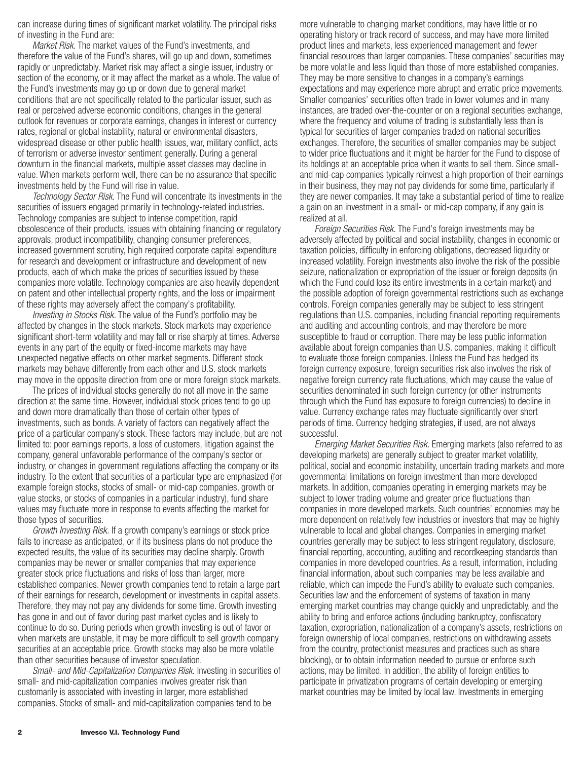can increase during times of significant market volatility. The principal risks of investing in the Fund are:

*Market Risk.* The market values of the Fund's investments, and therefore the value of the Fund's shares, will go up and down, sometimes rapidly or unpredictably. Market risk may affect a single issuer, industry or section of the economy, or it may affect the market as a whole. The value of the Fund's investments may go up or down due to general market conditions that are not specifically related to the particular issuer, such as real or perceived adverse economic conditions, changes in the general outlook for revenues or corporate earnings, changes in interest or currency rates, regional or global instability, natural or environmental disasters, widespread disease or other public health issues, war, military conflict, acts of terrorism or adverse investor sentiment generally. During a general downturn in the financial markets, multiple asset classes may decline in value. When markets perform well, there can be no assurance that specific investments held by the Fund will rise in value.

*Technology Sector Risk.* The Fund will concentrate its investments in the securities of issuers engaged primarily in technology-related industries. Technology companies are subject to intense competition, rapid obsolescence of their products, issues with obtaining financing or regulatory approvals, product incompatibility, changing consumer preferences, increased government scrutiny, high required corporate capital expenditure for research and development or infrastructure and development of new products, each of which make the prices of securities issued by these companies more volatile. Technology companies are also heavily dependent on patent and other intellectual property rights, and the loss or impairment of these rights may adversely affect the company's profitability.

*Investing in Stocks Risk.* The value of the Fund's portfolio may be affected by changes in the stock markets. Stock markets may experience significant short-term volatility and may fall or rise sharply at times. Adverse events in any part of the equity or fixed-income markets may have unexpected negative effects on other market segments. Different stock markets may behave differently from each other and U.S. stock markets may move in the opposite direction from one or more foreign stock markets.

The prices of individual stocks generally do not all move in the same direction at the same time. However, individual stock prices tend to go up and down more dramatically than those of certain other types of investments, such as bonds. A variety of factors can negatively affect the price of a particular company's stock. These factors may include, but are not limited to: poor earnings reports, a loss of customers, litigation against the company, general unfavorable performance of the company's sector or industry, or changes in government regulations affecting the company or its industry. To the extent that securities of a particular type are emphasized (for example foreign stocks, stocks of small- or mid-cap companies, growth or value stocks, or stocks of companies in a particular industry), fund share values may fluctuate more in response to events affecting the market for those types of securities.

*Growth Investing Risk.* If a growth company's earnings or stock price fails to increase as anticipated, or if its business plans do not produce the expected results, the value of its securities may decline sharply. Growth companies may be newer or smaller companies that may experience greater stock price fluctuations and risks of loss than larger, more established companies. Newer growth companies tend to retain a large part of their earnings for research, development or investments in capital assets. Therefore, they may not pay any dividends for some time. Growth investing has gone in and out of favor during past market cycles and is likely to continue to do so. During periods when growth investing is out of favor or when markets are unstable, it may be more difficult to sell growth company securities at an acceptable price. Growth stocks may also be more volatile than other securities because of investor speculation.

*Small- and Mid-Capitalization Companies Risk.* Investing in securities of small- and mid-capitalization companies involves greater risk than customarily is associated with investing in larger, more established companies. Stocks of small- and mid-capitalization companies tend to be

more vulnerable to changing market conditions, may have little or no operating history or track record of success, and may have more limited product lines and markets, less experienced management and fewer financial resources than larger companies. These companies' securities may be more volatile and less liquid than those of more established companies. They may be more sensitive to changes in a company's earnings expectations and may experience more abrupt and erratic price movements. Smaller companies' securities often trade in lower volumes and in many instances, are traded over-the-counter or on a regional securities exchange, where the frequency and volume of trading is substantially less than is typical for securities of larger companies traded on national securities exchanges. Therefore, the securities of smaller companies may be subject to wider price fluctuations and it might be harder for the Fund to dispose of its holdings at an acceptable price when it wants to sell them. Since smalland mid-cap companies typically reinvest a high proportion of their earnings in their business, they may not pay dividends for some time, particularly if they are newer companies. It may take a substantial period of time to realize a gain on an investment in a small- or mid-cap company, if any gain is realized at all.

*Foreign Securities Risk.* The Fund's foreign investments may be adversely affected by political and social instability, changes in economic or taxation policies, difficulty in enforcing obligations, decreased liquidity or increased volatility. Foreign investments also involve the risk of the possible seizure, nationalization or expropriation of the issuer or foreign deposits (in which the Fund could lose its entire investments in a certain market) and the possible adoption of foreign governmental restrictions such as exchange controls. Foreign companies generally may be subject to less stringent regulations than U.S. companies, including financial reporting requirements and auditing and accounting controls, and may therefore be more susceptible to fraud or corruption. There may be less public information available about foreign companies than U.S. companies, making it difficult to evaluate those foreign companies. Unless the Fund has hedged its foreign currency exposure, foreign securities risk also involves the risk of negative foreign currency rate fluctuations, which may cause the value of securities denominated in such foreign currency (or other instruments through which the Fund has exposure to foreign currencies) to decline in value. Currency exchange rates may fluctuate significantly over short periods of time. Currency hedging strategies, if used, are not always successful.

*Emerging Market Securities Risk.* Emerging markets (also referred to as developing markets) are generally subject to greater market volatility, political, social and economic instability, uncertain trading markets and more governmental limitations on foreign investment than more developed markets. In addition, companies operating in emerging markets may be subject to lower trading volume and greater price fluctuations than companies in more developed markets. Such countries' economies may be more dependent on relatively few industries or investors that may be highly vulnerable to local and global changes. Companies in emerging market countries generally may be subject to less stringent regulatory, disclosure, financial reporting, accounting, auditing and recordkeeping standards than companies in more developed countries. As a result, information, including financial information, about such companies may be less available and reliable, which can impede the Fund's ability to evaluate such companies. Securities law and the enforcement of systems of taxation in many emerging market countries may change quickly and unpredictably, and the ability to bring and enforce actions (including bankruptcy, confiscatory taxation, expropriation, nationalization of a company's assets, restrictions on foreign ownership of local companies, restrictions on withdrawing assets from the country, protectionist measures and practices such as share blocking), or to obtain information needed to pursue or enforce such actions, may be limited. In addition, the ability of foreign entities to participate in privatization programs of certain developing or emerging market countries may be limited by local law. Investments in emerging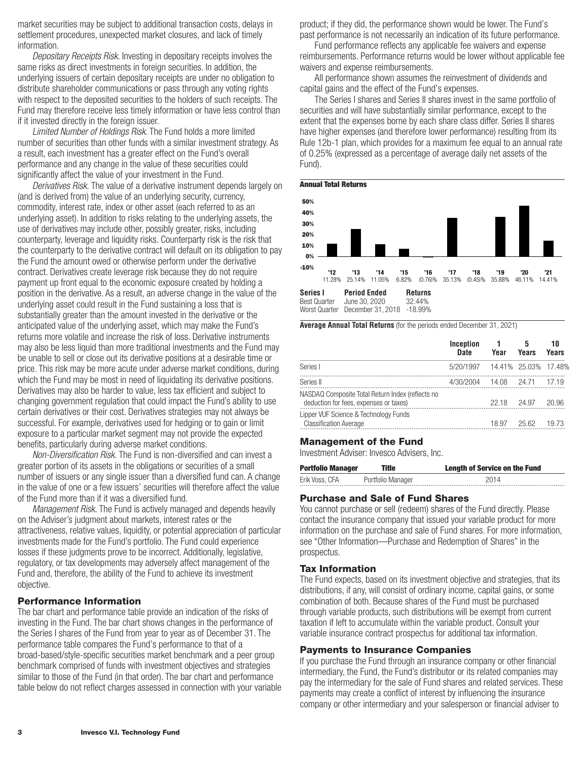market securities may be subject to additional transaction costs, delays in settlement procedures, unexpected market closures, and lack of timely information.

*Depositary Receipts Risk*. Investing in depositary receipts involves the same risks as direct investments in foreign securities. In addition, the underlying issuers of certain depositary receipts are under no obligation to distribute shareholder communications or pass through any voting rights with respect to the deposited securities to the holders of such receipts. The Fund may therefore receive less timely information or have less control than if it invested directly in the foreign issuer.

*Limited Number of Holdings Risk*. The Fund holds a more limited number of securities than other funds with a similar investment strategy. As a result, each investment has a greater effect on the Fund's overall performance and any change in the value of these securities could significantly affect the value of your investment in the Fund.

*Derivatives Risk.* The value of a derivative instrument depends largely on (and is derived from) the value of an underlying security, currency, commodity, interest rate, index or other asset (each referred to as an underlying asset). In addition to risks relating to the underlying assets, the use of derivatives may include other, possibly greater, risks, including counterparty, leverage and liquidity risks. Counterparty risk is the risk that the counterparty to the derivative contract will default on its obligation to pay the Fund the amount owed or otherwise perform under the derivative contract. Derivatives create leverage risk because they do not require payment up front equal to the economic exposure created by holding a position in the derivative. As a result, an adverse change in the value of the underlying asset could result in the Fund sustaining a loss that is substantially greater than the amount invested in the derivative or the anticipated value of the underlying asset, which may make the Fund's returns more volatile and increase the risk of loss. Derivative instruments may also be less liquid than more traditional investments and the Fund may be unable to sell or close out its derivative positions at a desirable time or price. This risk may be more acute under adverse market conditions, during which the Fund may be most in need of liquidating its derivative positions. Derivatives may also be harder to value, less tax efficient and subject to changing government regulation that could impact the Fund's ability to use certain derivatives or their cost. Derivatives strategies may not always be successful. For example, derivatives used for hedging or to gain or limit exposure to a particular market segment may not provide the expected benefits, particularly during adverse market conditions.

*Non-Diversification Risk.* The Fund is non-diversified and can invest a greater portion of its assets in the obligations or securities of a small number of issuers or any single issuer than a diversified fund can. A change in the value of one or a few issuers' securities will therefore affect the value of the Fund more than if it was a diversified fund.

*Management Risk.* The Fund is actively managed and depends heavily on the Adviser's judgment about markets, interest rates or the attractiveness, relative values, liquidity, or potential appreciation of particular investments made for the Fund's portfolio. The Fund could experience losses if these judgments prove to be incorrect. Additionally, legislative, regulatory, or tax developments may adversely affect management of the Fund and, therefore, the ability of the Fund to achieve its investment objective.

#### **Performance Information**

The bar chart and performance table provide an indication of the risks of investing in the Fund. The bar chart shows changes in the performance of the Series I shares of the Fund from year to year as of December 31. The performance table compares the Fund's performance to that of a broad-based/style-specific securities market benchmark and a peer group benchmark comprised of funds with investment objectives and strategies similar to those of the Fund (in that order). The bar chart and performance table below do not reflect charges assessed in connection with your variable product; if they did, the performance shown would be lower. The Fund's past performance is not necessarily an indication of its future performance.

Fund performance reflects any applicable fee waivers and expense reimbursements. Performance returns would be lower without applicable fee waivers and expense reimbursements.

All performance shown assumes the reinvestment of dividends and capital gains and the effect of the Fund's expenses.

The Series I shares and Series II shares invest in the same portfolio of securities and will have substantially similar performance, except to the extent that the expenses borne by each share class differ. Series II shares have higher expenses (and therefore lower performance) resulting from its Rule 12b-1 plan, which provides for a maximum fee equal to an annual rate of 0.25% (expressed as a percentage of average daily net assets of the Fund).



**Average Annual Total Returns** (for the periods ended December 31, 2021)

|                                                                        | Inception<br><b>Date</b>       | Year  | 5<br>Years | 10<br>Years |
|------------------------------------------------------------------------|--------------------------------|-------|------------|-------------|
| Series I                                                               | 5/20/1997 14.41% 25.03% 17.48% |       |            |             |
| Series II<br>NASDAQ Composite Total Return Index (reflects no          | 4/30/2004 14.08 24.71          |       |            | 17.19       |
| deduction for fees, expenses or taxes)                                 |                                | 22.18 | 24.97      | 20.96       |
| Lipper VUF Science & Technology Funds<br><b>Classification Average</b> |                                | 18.97 | 25.62      | 19.73       |

#### **Management of the Fund**

Investment Adviser: Invesco Advisers, Inc.

| Portfolio Manager   | Title             | <b>Length of Service on the Fund</b> |
|---------------------|-------------------|--------------------------------------|
| Erik Voss, CFA<br>. | Portfolio Manager | 2014                                 |

### **Purchase and Sale of Fund Shares**

You cannot purchase or sell (redeem) shares of the Fund directly. Please contact the insurance company that issued your variable product for more information on the purchase and sale of Fund shares. For more information, see "Other Information—Purchase and Redemption of Shares" in the prospectus.

#### **Tax Information**

The Fund expects, based on its investment objective and strategies, that its distributions, if any, will consist of ordinary income, capital gains, or some combination of both. Because shares of the Fund must be purchased through variable products, such distributions will be exempt from current taxation if left to accumulate within the variable product. Consult your variable insurance contract prospectus for additional tax information.

#### **Payments to Insurance Companies**

If you purchase the Fund through an insurance company or other financial intermediary, the Fund, the Fund's distributor or its related companies may pay the intermediary for the sale of Fund shares and related services. These payments may create a conflict of interest by influencing the insurance company or other intermediary and your salesperson or financial adviser to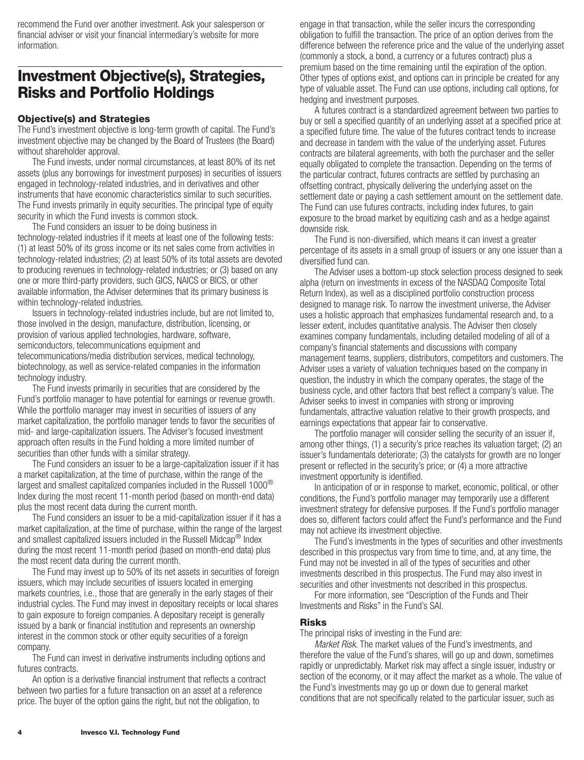<span id="page-5-0"></span>recommend the Fund over another investment. Ask your salesperson or financial adviser or visit your financial intermediary's website for more information.

## **Investment Objective(s), Strategies, Risks and Portfolio Holdings**

### **Objective(s) and Strategies**

The Fund's investment objective is long-term growth of capital. The Fund's investment objective may be changed by the Board of Trustees (the Board) without shareholder approval.

The Fund invests, under normal circumstances, at least 80% of its net assets (plus any borrowings for investment purposes) in securities of issuers engaged in technology-related industries, and in derivatives and other instruments that have economic characteristics similar to such securities. The Fund invests primarily in equity securities. The principal type of equity security in which the Fund invests is common stock.

The Fund considers an issuer to be doing business in technology-related industries if it meets at least one of the following tests: (1) at least 50% of its gross income or its net sales come from activities in technology-related industries; (2) at least 50% of its total assets are devoted to producing revenues in technology-related industries; or (3) based on any one or more third-party providers, such GICS, NAICS or BICS, or other available information, the Adviser determines that its primary business is within technology-related industries.

Issuers in technology-related industries include, but are not limited to, those involved in the design, manufacture, distribution, licensing, or provision of various applied technologies, hardware, software, semiconductors, telecommunications equipment and telecommunications/media distribution services, medical technology, biotechnology, as well as service-related companies in the information technology industry.

The Fund invests primarily in securities that are considered by the Fund's portfolio manager to have potential for earnings or revenue growth. While the portfolio manager may invest in securities of issuers of any market capitalization, the portfolio manager tends to favor the securities of mid- and large-capitalization issuers. The Adviser's focused investment approach often results in the Fund holding a more limited number of securities than other funds with a similar strategy.

The Fund considers an issuer to be a large-capitalization issuer if it has a market capitalization, at the time of purchase, within the range of the largest and smallest capitalized companies included in the Russell  $1000^{\circledcirc}$ Index during the most recent 11-month period (based on month-end data) plus the most recent data during the current month.

The Fund considers an issuer to be a mid-capitalization issuer if it has a market capitalization, at the time of purchase, within the range of the largest and smallest capitalized issuers included in the Russell Midcap® Index during the most recent 11-month period (based on month-end data) plus the most recent data during the current month.

The Fund may invest up to 50% of its net assets in securities of foreign issuers, which may include securities of issuers located in emerging markets countries, i.e., those that are generally in the early stages of their industrial cycles. The Fund may invest in depositary receipts or local shares to gain exposure to foreign companies. A depositary receipt is generally issued by a bank or financial institution and represents an ownership interest in the common stock or other equity securities of a foreign company.

The Fund can invest in derivative instruments including options and futures contracts.

An option is a derivative financial instrument that reflects a contract between two parties for a future transaction on an asset at a reference price. The buyer of the option gains the right, but not the obligation, to

engage in that transaction, while the seller incurs the corresponding obligation to fulfill the transaction. The price of an option derives from the difference between the reference price and the value of the underlying asset (commonly a stock, a bond, a currency or a futures contract) plus a premium based on the time remaining until the expiration of the option. Other types of options exist, and options can in principle be created for any type of valuable asset. The Fund can use options, including call options, for hedging and investment purposes.

A futures contract is a standardized agreement between two parties to buy or sell a specified quantity of an underlying asset at a specified price at a specified future time. The value of the futures contract tends to increase and decrease in tandem with the value of the underlying asset. Futures contracts are bilateral agreements, with both the purchaser and the seller equally obligated to complete the transaction. Depending on the terms of the particular contract, futures contracts are settled by purchasing an offsetting contract, physically delivering the underlying asset on the settlement date or paying a cash settlement amount on the settlement date. The Fund can use futures contracts, including index futures, to gain exposure to the broad market by equitizing cash and as a hedge against downside risk.

The Fund is non-diversified, which means it can invest a greater percentage of its assets in a small group of issuers or any one issuer than a diversified fund can.

The Adviser uses a bottom-up stock selection process designed to seek alpha (return on investments in excess of the NASDAQ Composite Total Return Index), as well as a disciplined portfolio construction process designed to manage risk. To narrow the investment universe, the Adviser uses a holistic approach that emphasizes fundamental research and, to a lesser extent, includes quantitative analysis. The Adviser then closely examines company fundamentals, including detailed modeling of all of a company's financial statements and discussions with company management teams, suppliers, distributors, competitors and customers. The Adviser uses a variety of valuation techniques based on the company in question, the industry in which the company operates, the stage of the business cycle, and other factors that best reflect a company's value. The Adviser seeks to invest in companies with strong or improving fundamentals, attractive valuation relative to their growth prospects, and earnings expectations that appear fair to conservative.

The portfolio manager will consider selling the security of an issuer if, among other things, (1) a security's price reaches its valuation target; (2) an issuer's fundamentals deteriorate; (3) the catalysts for growth are no longer present or reflected in the security's price; or (4) a more attractive investment opportunity is identified.

In anticipation of or in response to market, economic, political, or other conditions, the Fund's portfolio manager may temporarily use a different investment strategy for defensive purposes. If the Fund's portfolio manager does so, different factors could affect the Fund's performance and the Fund may not achieve its investment objective.

The Fund's investments in the types of securities and other investments described in this prospectus vary from time to time, and, at any time, the Fund may not be invested in all of the types of securities and other investments described in this prospectus. The Fund may also invest in securities and other investments not described in this prospectus.

For more information, see "Description of the Funds and Their Investments and Risks" in the Fund's SAI.

#### **Risks**

The principal risks of investing in the Fund are:

*Market Risk.* The market values of the Fund's investments, and therefore the value of the Fund's shares, will go up and down, sometimes rapidly or unpredictably. Market risk may affect a single issuer, industry or section of the economy, or it may affect the market as a whole. The value of the Fund's investments may go up or down due to general market conditions that are not specifically related to the particular issuer, such as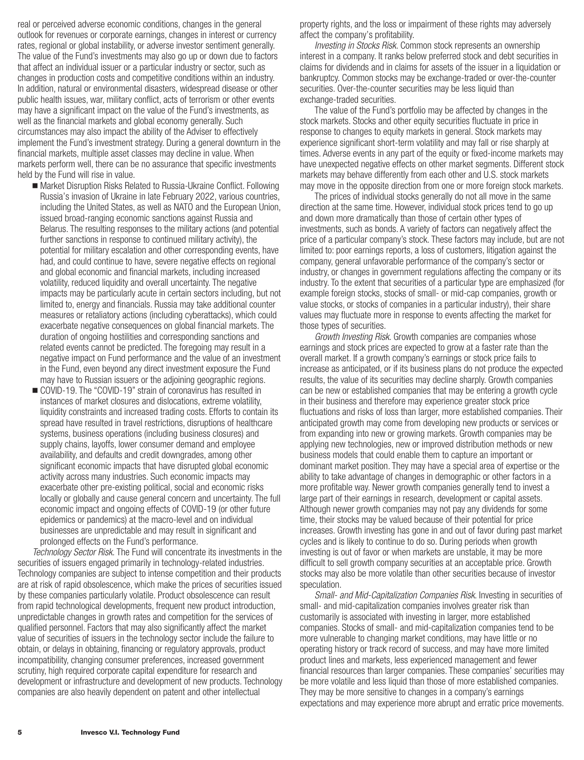real or perceived adverse economic conditions, changes in the general outlook for revenues or corporate earnings, changes in interest or currency rates, regional or global instability, or adverse investor sentiment generally. The value of the Fund's investments may also go up or down due to factors that affect an individual issuer or a particular industry or sector, such as changes in production costs and competitive conditions within an industry. In addition, natural or environmental disasters, widespread disease or other public health issues, war, military conflict, acts of terrorism or other events may have a significant impact on the value of the Fund's investments, as well as the financial markets and global economy generally. Such circumstances may also impact the ability of the Adviser to effectively implement the Fund's investment strategy. During a general downturn in the financial markets, multiple asset classes may decline in value. When markets perform well, there can be no assurance that specific investments held by the Fund will rise in value.

- Market Disruption Risks Related to Russia-Ukraine Conflict. Following Russia's invasion of Ukraine in late February 2022, various countries, including the United States, as well as NATO and the European Union, issued broad-ranging economic sanctions against Russia and Belarus. The resulting responses to the military actions (and potential further sanctions in response to continued military activity), the potential for military escalation and other corresponding events, have had, and could continue to have, severe negative effects on regional and global economic and financial markets, including increased volatility, reduced liquidity and overall uncertainty. The negative impacts may be particularly acute in certain sectors including, but not limited to, energy and financials. Russia may take additional counter measures or retaliatory actions (including cyberattacks), which could exacerbate negative consequences on global financial markets. The duration of ongoing hostilities and corresponding sanctions and related events cannot be predicted. The foregoing may result in a negative impact on Fund performance and the value of an investment in the Fund, even beyond any direct investment exposure the Fund may have to Russian issuers or the adjoining geographic regions.
- COVID-19. The "COVID-19" strain of coronavirus has resulted in instances of market closures and dislocations, extreme volatility, liquidity constraints and increased trading costs. Efforts to contain its spread have resulted in travel restrictions, disruptions of healthcare systems, business operations (including business closures) and supply chains, layoffs, lower consumer demand and employee availability, and defaults and credit downgrades, among other significant economic impacts that have disrupted global economic activity across many industries. Such economic impacts may exacerbate other pre-existing political, social and economic risks locally or globally and cause general concern and uncertainty. The full economic impact and ongoing effects of COVID-19 (or other future epidemics or pandemics) at the macro-level and on individual businesses are unpredictable and may result in significant and prolonged effects on the Fund's performance.

*Technology Sector Risk.* The Fund will concentrate its investments in the securities of issuers engaged primarily in technology-related industries. Technology companies are subject to intense competition and their products are at risk of rapid obsolescence, which make the prices of securities issued by these companies particularly volatile. Product obsolescence can result from rapid technological developments, frequent new product introduction, unpredictable changes in growth rates and competition for the services of qualified personnel. Factors that may also significantly affect the market value of securities of issuers in the technology sector include the failure to obtain, or delays in obtaining, financing or regulatory approvals, product incompatibility, changing consumer preferences, increased government scrutiny, high required corporate capital expenditure for research and development or infrastructure and development of new products. Technology companies are also heavily dependent on patent and other intellectual

property rights, and the loss or impairment of these rights may adversely affect the company's profitability.

*Investing in Stocks Risk*. Common stock represents an ownership interest in a company. It ranks below preferred stock and debt securities in claims for dividends and in claims for assets of the issuer in a liquidation or bankruptcy. Common stocks may be exchange-traded or over-the-counter securities. Over-the-counter securities may be less liquid than exchange-traded securities.

The value of the Fund's portfolio may be affected by changes in the stock markets. Stocks and other equity securities fluctuate in price in response to changes to equity markets in general. Stock markets may experience significant short-term volatility and may fall or rise sharply at times. Adverse events in any part of the equity or fixed-income markets may have unexpected negative effects on other market segments. Different stock markets may behave differently from each other and U.S. stock markets may move in the opposite direction from one or more foreign stock markets.

The prices of individual stocks generally do not all move in the same direction at the same time. However, individual stock prices tend to go up and down more dramatically than those of certain other types of investments, such as bonds. A variety of factors can negatively affect the price of a particular company's stock. These factors may include, but are not limited to: poor earnings reports, a loss of customers, litigation against the company, general unfavorable performance of the company's sector or industry, or changes in government regulations affecting the company or its industry. To the extent that securities of a particular type are emphasized (for example foreign stocks, stocks of small- or mid-cap companies, growth or value stocks, or stocks of companies in a particular industry), their share values may fluctuate more in response to events affecting the market for those types of securities.

*Growth Investing Risk*. Growth companies are companies whose earnings and stock prices are expected to grow at a faster rate than the overall market. If a growth company's earnings or stock price fails to increase as anticipated, or if its business plans do not produce the expected results, the value of its securities may decline sharply. Growth companies can be new or established companies that may be entering a growth cycle in their business and therefore may experience greater stock price fluctuations and risks of loss than larger, more established companies. Their anticipated growth may come from developing new products or services or from expanding into new or growing markets. Growth companies may be applying new technologies, new or improved distribution methods or new business models that could enable them to capture an important or dominant market position. They may have a special area of expertise or the ability to take advantage of changes in demographic or other factors in a more profitable way. Newer growth companies generally tend to invest a large part of their earnings in research, development or capital assets. Although newer growth companies may not pay any dividends for some time, their stocks may be valued because of their potential for price increases. Growth investing has gone in and out of favor during past market cycles and is likely to continue to do so. During periods when growth investing is out of favor or when markets are unstable, it may be more difficult to sell growth company securities at an acceptable price. Growth stocks may also be more volatile than other securities because of investor speculation.

*Small- and Mid-Capitalization Companies Risk*. Investing in securities of small- and mid-capitalization companies involves greater risk than customarily is associated with investing in larger, more established companies. Stocks of small- and mid-capitalization companies tend to be more vulnerable to changing market conditions, may have little or no operating history or track record of success, and may have more limited product lines and markets, less experienced management and fewer financial resources than larger companies. These companies' securities may be more volatile and less liquid than those of more established companies. They may be more sensitive to changes in a company's earnings expectations and may experience more abrupt and erratic price movements.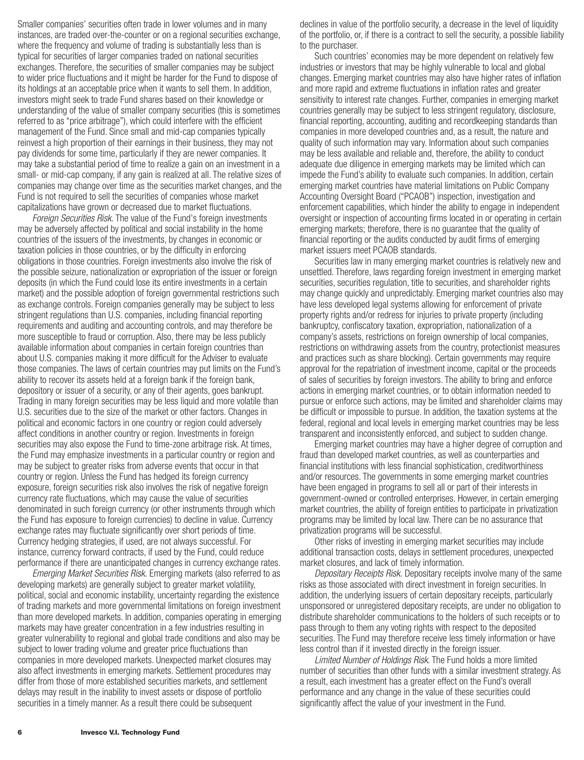Smaller companies' securities often trade in lower volumes and in many instances, are traded over-the-counter or on a regional securities exchange, where the frequency and volume of trading is substantially less than is typical for securities of larger companies traded on national securities exchanges. Therefore, the securities of smaller companies may be subject to wider price fluctuations and it might be harder for the Fund to dispose of its holdings at an acceptable price when it wants to sell them. In addition, investors might seek to trade Fund shares based on their knowledge or understanding of the value of smaller company securities (this is sometimes referred to as "price arbitrage"), which could interfere with the efficient management of the Fund. Since small and mid-cap companies typically reinvest a high proportion of their earnings in their business, they may not pay dividends for some time, particularly if they are newer companies. It may take a substantial period of time to realize a gain on an investment in a small- or mid-cap company, if any gain is realized at all. The relative sizes of companies may change over time as the securities market changes, and the Fund is not required to sell the securities of companies whose market capitalizations have grown or decreased due to market fluctuations.

*Foreign Securities Risk.* The value of the Fund's foreign investments may be adversely affected by political and social instability in the home countries of the issuers of the investments, by changes in economic or taxation policies in those countries, or by the difficulty in enforcing obligations in those countries. Foreign investments also involve the risk of the possible seizure, nationalization or expropriation of the issuer or foreign deposits (in which the Fund could lose its entire investments in a certain market) and the possible adoption of foreign governmental restrictions such as exchange controls. Foreign companies generally may be subject to less stringent regulations than U.S. companies, including financial reporting requirements and auditing and accounting controls, and may therefore be more susceptible to fraud or corruption. Also, there may be less publicly available information about companies in certain foreign countries than about U.S. companies making it more difficult for the Adviser to evaluate those companies. The laws of certain countries may put limits on the Fund's ability to recover its assets held at a foreign bank if the foreign bank, depository or issuer of a security, or any of their agents, goes bankrupt. Trading in many foreign securities may be less liquid and more volatile than U.S. securities due to the size of the market or other factors. Changes in political and economic factors in one country or region could adversely affect conditions in another country or region. Investments in foreign securities may also expose the Fund to time-zone arbitrage risk. At times, the Fund may emphasize investments in a particular country or region and may be subject to greater risks from adverse events that occur in that country or region. Unless the Fund has hedged its foreign currency exposure, foreign securities risk also involves the risk of negative foreign currency rate fluctuations, which may cause the value of securities denominated in such foreign currency (or other instruments through which the Fund has exposure to foreign currencies) to decline in value. Currency exchange rates may fluctuate significantly over short periods of time. Currency hedging strategies, if used, are not always successful. For instance, currency forward contracts, if used by the Fund, could reduce performance if there are unanticipated changes in currency exchange rates.

*Emerging Market Securities Risk.* Emerging markets (also referred to as developing markets) are generally subject to greater market volatility, political, social and economic instability, uncertainty regarding the existence of trading markets and more governmental limitations on foreign investment than more developed markets. In addition, companies operating in emerging markets may have greater concentration in a few industries resulting in greater vulnerability to regional and global trade conditions and also may be subject to lower trading volume and greater price fluctuations than companies in more developed markets. Unexpected market closures may also affect investments in emerging markets. Settlement procedures may differ from those of more established securities markets, and settlement delays may result in the inability to invest assets or dispose of portfolio securities in a timely manner. As a result there could be subsequent

declines in value of the portfolio security, a decrease in the level of liquidity of the portfolio, or, if there is a contract to sell the security, a possible liability to the purchaser.

Such countries' economies may be more dependent on relatively few industries or investors that may be highly vulnerable to local and global changes. Emerging market countries may also have higher rates of inflation and more rapid and extreme fluctuations in inflation rates and greater sensitivity to interest rate changes. Further, companies in emerging market countries generally may be subject to less stringent regulatory, disclosure, financial reporting, accounting, auditing and recordkeeping standards than companies in more developed countries and, as a result, the nature and quality of such information may vary. Information about such companies may be less available and reliable and, therefore, the ability to conduct adequate due diligence in emerging markets may be limited which can impede the Fund's ability to evaluate such companies. In addition, certain emerging market countries have material limitations on Public Company Accounting Oversight Board ("PCAOB") inspection, investigation and enforcement capabilities, which hinder the ability to engage in independent oversight or inspection of accounting firms located in or operating in certain emerging markets; therefore, there is no guarantee that the quality of financial reporting or the audits conducted by audit firms of emerging market issuers meet PCAOB standards.

Securities law in many emerging market countries is relatively new and unsettled. Therefore, laws regarding foreign investment in emerging market securities, securities regulation, title to securities, and shareholder rights may change quickly and unpredictably. Emerging market countries also may have less developed legal systems allowing for enforcement of private property rights and/or redress for injuries to private property (including bankruptcy, confiscatory taxation, expropriation, nationalization of a company's assets, restrictions on foreign ownership of local companies, restrictions on withdrawing assets from the country, protectionist measures and practices such as share blocking). Certain governments may require approval for the repatriation of investment income, capital or the proceeds of sales of securities by foreign investors. The ability to bring and enforce actions in emerging market countries, or to obtain information needed to pursue or enforce such actions, may be limited and shareholder claims may be difficult or impossible to pursue. In addition, the taxation systems at the federal, regional and local levels in emerging market countries may be less transparent and inconsistently enforced, and subject to sudden change.

Emerging market countries may have a higher degree of corruption and fraud than developed market countries, as well as counterparties and financial institutions with less financial sophistication, creditworthiness and/or resources. The governments in some emerging market countries have been engaged in programs to sell all or part of their interests in government-owned or controlled enterprises. However, in certain emerging market countries, the ability of foreign entities to participate in privatization programs may be limited by local law. There can be no assurance that privatization programs will be successful.

Other risks of investing in emerging market securities may include additional transaction costs, delays in settlement procedures, unexpected market closures, and lack of timely information.

*Depositary Receipts Risk.* Depositary receipts involve many of the same risks as those associated with direct investment in foreign securities. In addition, the underlying issuers of certain depositary receipts, particularly unsponsored or unregistered depositary receipts, are under no obligation to distribute shareholder communications to the holders of such receipts or to pass through to them any voting rights with respect to the deposited securities. The Fund may therefore receive less timely information or have less control than if it invested directly in the foreign issuer.

*Limited Number of Holdings Risk*. The Fund holds a more limited number of securities than other funds with a similar investment strategy. As a result, each investment has a greater effect on the Fund's overall performance and any change in the value of these securities could significantly affect the value of your investment in the Fund.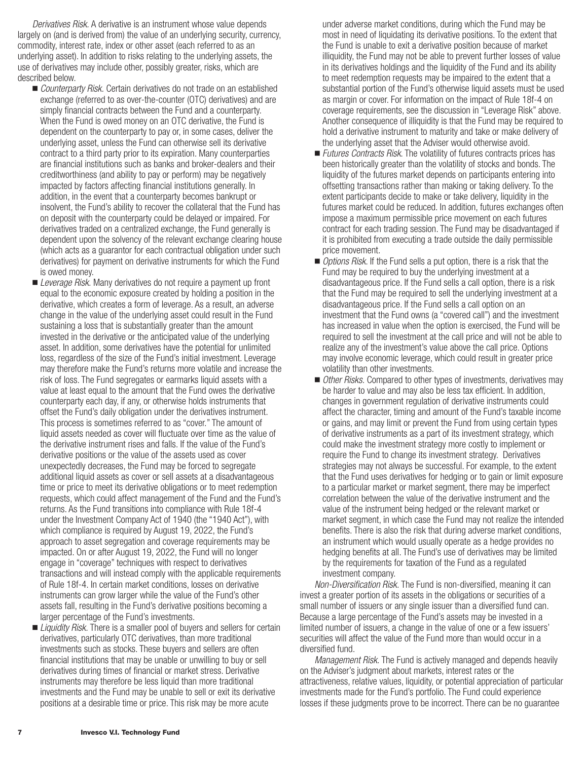*Derivatives Risk.* A derivative is an instrument whose value depends largely on (and is derived from) the value of an underlying security, currency, commodity, interest rate, index or other asset (each referred to as an underlying asset). In addition to risks relating to the underlying assets, the use of derivatives may include other, possibly greater, risks, which are described below.

- *Counterparty Risk.* Certain derivatives do not trade on an established exchange (referred to as over-the-counter (OTC) derivatives) and are simply financial contracts between the Fund and a counterparty. When the Fund is owed money on an OTC derivative, the Fund is dependent on the counterparty to pay or, in some cases, deliver the underlying asset, unless the Fund can otherwise sell its derivative contract to a third party prior to its expiration. Many counterparties are financial institutions such as banks and broker-dealers and their creditworthiness (and ability to pay or perform) may be negatively impacted by factors affecting financial institutions generally. In addition, in the event that a counterparty becomes bankrupt or insolvent, the Fund's ability to recover the collateral that the Fund has on deposit with the counterparty could be delayed or impaired. For derivatives traded on a centralized exchange, the Fund generally is dependent upon the solvency of the relevant exchange clearing house (which acts as a guarantor for each contractual obligation under such derivatives) for payment on derivative instruments for which the Fund is owed money.
- *Leverage Risk.* Many derivatives do not require a payment up front equal to the economic exposure created by holding a position in the derivative, which creates a form of leverage. As a result, an adverse change in the value of the underlying asset could result in the Fund sustaining a loss that is substantially greater than the amount invested in the derivative or the anticipated value of the underlying asset. In addition, some derivatives have the potential for unlimited loss, regardless of the size of the Fund's initial investment. Leverage may therefore make the Fund's returns more volatile and increase the risk of loss. The Fund segregates or earmarks liquid assets with a value at least equal to the amount that the Fund owes the derivative counterparty each day, if any, or otherwise holds instruments that offset the Fund's daily obligation under the derivatives instrument. This process is sometimes referred to as "cover." The amount of liquid assets needed as cover will fluctuate over time as the value of the derivative instrument rises and falls. If the value of the Fund's derivative positions or the value of the assets used as cover unexpectedly decreases, the Fund may be forced to segregate additional liquid assets as cover or sell assets at a disadvantageous time or price to meet its derivative obligations or to meet redemption requests, which could affect management of the Fund and the Fund's returns. As the Fund transitions into compliance with Rule 18f-4 under the Investment Company Act of 1940 (the "1940 Act"), with which compliance is required by August 19, 2022, the Fund's approach to asset segregation and coverage requirements may be impacted. On or after August 19, 2022, the Fund will no longer engage in "coverage" techniques with respect to derivatives transactions and will instead comply with the applicable requirements of Rule 18f-4. In certain market conditions, losses on derivative instruments can grow larger while the value of the Fund's other assets fall, resulting in the Fund's derivative positions becoming a larger percentage of the Fund's investments.
- *Liquidity Risk*. There is a smaller pool of buyers and sellers for certain derivatives, particularly OTC derivatives, than more traditional investments such as stocks. These buyers and sellers are often financial institutions that may be unable or unwilling to buy or sell derivatives during times of financial or market stress. Derivative instruments may therefore be less liquid than more traditional investments and the Fund may be unable to sell or exit its derivative positions at a desirable time or price. This risk may be more acute

under adverse market conditions, during which the Fund may be most in need of liquidating its derivative positions. To the extent that the Fund is unable to exit a derivative position because of market illiquidity, the Fund may not be able to prevent further losses of value in its derivatives holdings and the liquidity of the Fund and its ability to meet redemption requests may be impaired to the extent that a substantial portion of the Fund's otherwise liquid assets must be used as margin or cover. For information on the impact of Rule 18f-4 on coverage requirements, see the discussion in "Leverage Risk" above. Another consequence of illiquidity is that the Fund may be required to hold a derivative instrument to maturity and take or make delivery of the underlying asset that the Adviser would otherwise avoid.

- *Futures Contracts Risk*. The volatility of futures contracts prices has been historically greater than the volatility of stocks and bonds. The liquidity of the futures market depends on participants entering into offsetting transactions rather than making or taking delivery. To the extent participants decide to make or take delivery, liquidity in the futures market could be reduced. In addition, futures exchanges often impose a maximum permissible price movement on each futures contract for each trading session. The Fund may be disadvantaged if it is prohibited from executing a trade outside the daily permissible price movement.
- *Options Risk*. If the Fund sells a put option, there is a risk that the Fund may be required to buy the underlying investment at a disadvantageous price. If the Fund sells a call option, there is a risk that the Fund may be required to sell the underlying investment at a disadvantageous price. If the Fund sells a call option on an investment that the Fund owns (a "covered call") and the investment has increased in value when the option is exercised, the Fund will be required to sell the investment at the call price and will not be able to realize any of the investment's value above the call price. Options may involve economic leverage, which could result in greater price volatility than other investments.
- *Other Risks.* Compared to other types of investments, derivatives may be harder to value and may also be less tax efficient. In addition, changes in government regulation of derivative instruments could affect the character, timing and amount of the Fund's taxable income or gains, and may limit or prevent the Fund from using certain types of derivative instruments as a part of its investment strategy, which could make the investment strategy more costly to implement or require the Fund to change its investment strategy. Derivatives strategies may not always be successful. For example, to the extent that the Fund uses derivatives for hedging or to gain or limit exposure to a particular market or market segment, there may be imperfect correlation between the value of the derivative instrument and the value of the instrument being hedged or the relevant market or market segment, in which case the Fund may not realize the intended benefits. There is also the risk that during adverse market conditions, an instrument which would usually operate as a hedge provides no hedging benefits at all. The Fund's use of derivatives may be limited by the requirements for taxation of the Fund as a regulated investment company.

*Non-Diversification Risk.* The Fund is non-diversified, meaning it can invest a greater portion of its assets in the obligations or securities of a small number of issuers or any single issuer than a diversified fund can. Because a large percentage of the Fund's assets may be invested in a limited number of issuers, a change in the value of one or a few issuers' securities will affect the value of the Fund more than would occur in a diversified fund.

*Management Risk.* The Fund is actively managed and depends heavily on the Adviser's judgment about markets, interest rates or the attractiveness, relative values, liquidity, or potential appreciation of particular investments made for the Fund's portfolio. The Fund could experience losses if these judgments prove to be incorrect. There can be no guarantee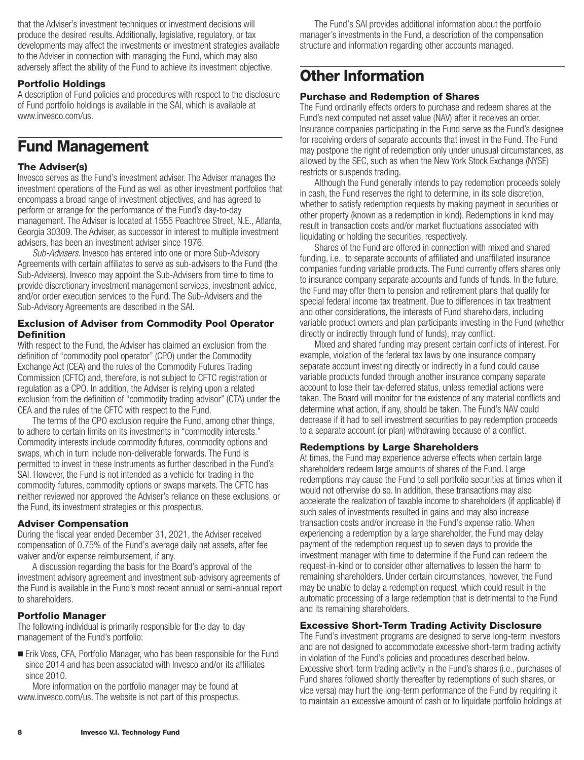<span id="page-9-0"></span>that the Adviser's investment techniques or investment decisions will produce the desired results. Additionally, legislative, regulatory, or tax developments may affect the investments or investment strategies available to the Adviser in connection with managing the Fund, which may also adversely affect the ability of the Fund to achieve its investment objective.

## **Portfolio Holdings**

A description of Fund policies and procedures with respect to the disclosure of Fund portfolio holdings is available in the SAI, which is available at www.invesco.com/us.

## **Fund Management**

### **The Adviser(s)**

Invesco serves as the Fund's investment adviser. The Adviser manages the investment operations of the Fund as well as other investment portfolios that encompass a broad range of investment objectives, and has agreed to perform or arrange for the performance of the Fund's day-to-day management. The Adviser is located at 1555 Peachtree Street, N.E., Atlanta, Georgia 30309. The Adviser, as successor in interest to multiple investment advisers, has been an investment adviser since 1976.

*Sub-Advisers*. Invesco has entered into one or more Sub-Advisory Agreements with certain affiliates to serve as sub-advisers to the Fund (the Sub-Advisers). Invesco may appoint the Sub-Advisers from time to time to provide discretionary investment management services, investment advice, and/or order execution services to the Fund. The Sub-Advisers and the Sub-Advisory Agreements are described in the SAI.

### **Exclusion of Adviser from Commodity Pool Operator Definition**

With respect to the Fund, the Adviser has claimed an exclusion from the definition of "commodity pool operator" (CPO) under the Commodity Exchange Act (CEA) and the rules of the Commodity Futures Trading Commission (CFTC) and, therefore, is not subject to CFTC registration or regulation as a CPO. In addition, the Adviser is relying upon a related exclusion from the definition of "commodity trading advisor" (CTA) under the CEA and the rules of the CFTC with respect to the Fund.

The terms of the CPO exclusion require the Fund, among other things, to adhere to certain limits on its investments in "commodity interests." Commodity interests include commodity futures, commodity options and swaps, which in turn include non-deliverable forwards. The Fund is permitted to invest in these instruments as further described in the Fund's SAI. However, the Fund is not intended as a vehicle for trading in the commodity futures, commodity options or swaps markets. The CFTC has neither reviewed nor approved the Adviser's reliance on these exclusions, or the Fund, its investment strategies or this prospectus.

### **Adviser Compensation**

During the fiscal year ended December 31, 2021, the Adviser received compensation of 0.75% of the Fund's average daily net assets, after fee waiver and/or expense reimbursement, if any.

A discussion regarding the basis for the Board's approval of the investment advisory agreement and investment sub-advisory agreements of the Fund is available in the Fund's most recent annual or semi-annual report to shareholders.

## **Portfolio Manager**

The following individual is primarily responsible for the day-to-day management of the Fund's portfolio:

■ Erik Voss, CFA, Portfolio Manager, who has been responsible for the Fund since 2014 and has been associated with Invesco and/or its affiliates since 2010.

More information on the portfolio manager may be found at www.invesco.com/us. The website is not part of this prospectus.

The Fund's SAI provides additional information about the portfolio manager's investments in the Fund, a description of the compensation structure and information regarding other accounts managed.

## **Other Information**

## **Purchase and Redemption of Shares**

The Fund ordinarily effects orders to purchase and redeem shares at the Fund's next computed net asset value (NAV) after it receives an order. Insurance companies participating in the Fund serve as the Fund's designee for receiving orders of separate accounts that invest in the Fund. The Fund may postpone the right of redemption only under unusual circumstances, as allowed by the SEC, such as when the New York Stock Exchange (NYSE) restricts or suspends trading.

Although the Fund generally intends to pay redemption proceeds solely in cash, the Fund reserves the right to determine, in its sole discretion, whether to satisfy redemption requests by making payment in securities or other property (known as a redemption in kind). Redemptions in kind may result in transaction costs and/or market fluctuations associated with liquidating or holding the securities, respectively.

Shares of the Fund are offered in connection with mixed and shared funding, i.e., to separate accounts of affiliated and unaffiliated insurance companies funding variable products. The Fund currently offers shares only to insurance company separate accounts and funds of funds. In the future, the Fund may offer them to pension and retirement plans that qualify for special federal income tax treatment. Due to differences in tax treatment and other considerations, the interests of Fund shareholders, including variable product owners and plan participants investing in the Fund (whether directly or indirectly through fund of funds), may conflict.

Mixed and shared funding may present certain conflicts of interest. For example, violation of the federal tax laws by one insurance company separate account investing directly or indirectly in a fund could cause variable products funded through another insurance company separate account to lose their tax-deferred status, unless remedial actions were taken. The Board will monitor for the existence of any material conflicts and determine what action, if any, should be taken. The Fund's NAV could decrease if it had to sell investment securities to pay redemption proceeds to a separate account (or plan) withdrawing because of a conflict.

### **Redemptions by Large Shareholders**

At times, the Fund may experience adverse effects when certain large shareholders redeem large amounts of shares of the Fund. Large redemptions may cause the Fund to sell portfolio securities at times when it would not otherwise do so. In addition, these transactions may also accelerate the realization of taxable income to shareholders (if applicable) if such sales of investments resulted in gains and may also increase transaction costs and/or increase in the Fund's expense ratio. When experiencing a redemption by a large shareholder, the Fund may delay payment of the redemption request up to seven days to provide the investment manager with time to determine if the Fund can redeem the request-in-kind or to consider other alternatives to lessen the harm to remaining shareholders. Under certain circumstances, however, the Fund may be unable to delay a redemption request, which could result in the automatic processing of a large redemption that is detrimental to the Fund and its remaining shareholders.

### **Excessive Short-Term Trading Activity Disclosure**

The Fund's investment programs are designed to serve long-term investors and are not designed to accommodate excessive short-term trading activity in violation of the Fund's policies and procedures described below. Excessive short-term trading activity in the Fund's shares (i.e., purchases of Fund shares followed shortly thereafter by redemptions of such shares, or vice versa) may hurt the long-term performance of the Fund by requiring it to maintain an excessive amount of cash or to liquidate portfolio holdings at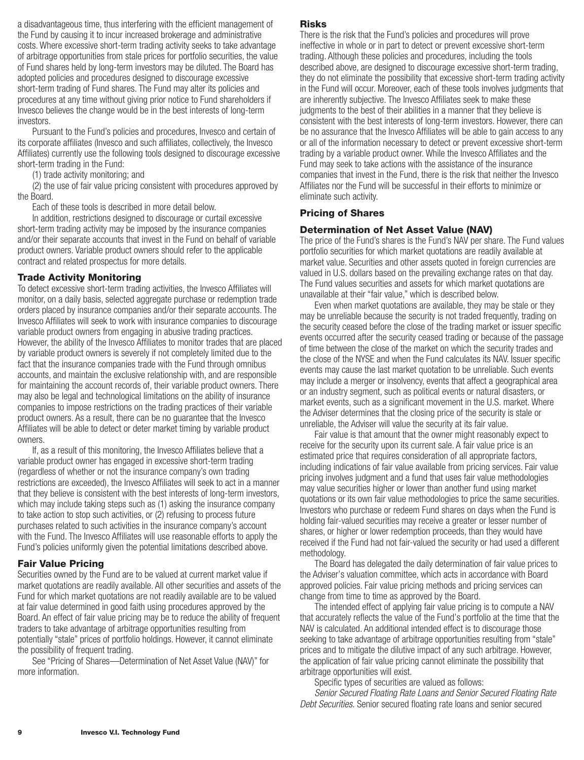<span id="page-10-0"></span>a disadvantageous time, thus interfering with the efficient management of the Fund by causing it to incur increased brokerage and administrative costs. Where excessive short-term trading activity seeks to take advantage of arbitrage opportunities from stale prices for portfolio securities, the value of Fund shares held by long-term investors may be diluted. The Board has adopted policies and procedures designed to discourage excessive short-term trading of Fund shares. The Fund may alter its policies and procedures at any time without giving prior notice to Fund shareholders if Invesco believes the change would be in the best interests of long-term investors.

Pursuant to the Fund's policies and procedures, Invesco and certain of its corporate affiliates (Invesco and such affiliates, collectively, the Invesco Affiliates) currently use the following tools designed to discourage excessive short-term trading in the Fund:

(1) trade activity monitoring; and

(2) the use of fair value pricing consistent with procedures approved by the Board.

Each of these tools is described in more detail below.

In addition, restrictions designed to discourage or curtail excessive short-term trading activity may be imposed by the insurance companies and/or their separate accounts that invest in the Fund on behalf of variable product owners. Variable product owners should refer to the applicable contract and related prospectus for more details.

### **Trade Activity Monitoring**

To detect excessive short-term trading activities, the Invesco Affiliates will monitor, on a daily basis, selected aggregate purchase or redemption trade orders placed by insurance companies and/or their separate accounts. The Invesco Affiliates will seek to work with insurance companies to discourage variable product owners from engaging in abusive trading practices. However, the ability of the Invesco Affiliates to monitor trades that are placed by variable product owners is severely if not completely limited due to the fact that the insurance companies trade with the Fund through omnibus accounts, and maintain the exclusive relationship with, and are responsible for maintaining the account records of, their variable product owners. There may also be legal and technological limitations on the ability of insurance companies to impose restrictions on the trading practices of their variable product owners. As a result, there can be no guarantee that the Invesco Affiliates will be able to detect or deter market timing by variable product owners.

If, as a result of this monitoring, the Invesco Affiliates believe that a variable product owner has engaged in excessive short-term trading (regardless of whether or not the insurance company's own trading restrictions are exceeded), the Invesco Affiliates will seek to act in a manner that they believe is consistent with the best interests of long-term investors, which may include taking steps such as (1) asking the insurance company to take action to stop such activities, or (2) refusing to process future purchases related to such activities in the insurance company's account with the Fund. The Invesco Affiliates will use reasonable efforts to apply the Fund's policies uniformly given the potential limitations described above.

### **Fair Value Pricing**

Securities owned by the Fund are to be valued at current market value if market quotations are readily available. All other securities and assets of the Fund for which market quotations are not readily available are to be valued at fair value determined in good faith using procedures approved by the Board. An effect of fair value pricing may be to reduce the ability of frequent traders to take advantage of arbitrage opportunities resulting from potentially "stale" prices of portfolio holdings. However, it cannot eliminate the possibility of frequent trading.

See "Pricing of Shares—Determination of Net Asset Value (NAV)" for more information.

### **Risks**

There is the risk that the Fund's policies and procedures will prove ineffective in whole or in part to detect or prevent excessive short-term trading. Although these policies and procedures, including the tools described above, are designed to discourage excessive short-term trading, they do not eliminate the possibility that excessive short-term trading activity in the Fund will occur. Moreover, each of these tools involves judgments that are inherently subjective. The Invesco Affiliates seek to make these judgments to the best of their abilities in a manner that they believe is consistent with the best interests of long-term investors. However, there can be no assurance that the Invesco Affiliates will be able to gain access to any or all of the information necessary to detect or prevent excessive short-term trading by a variable product owner. While the Invesco Affiliates and the Fund may seek to take actions with the assistance of the insurance companies that invest in the Fund, there is the risk that neither the Invesco Affiliates nor the Fund will be successful in their efforts to minimize or eliminate such activity.

### **Pricing of Shares**

### **Determination of Net Asset Value (NAV)**

The price of the Fund's shares is the Fund's NAV per share. The Fund values portfolio securities for which market quotations are readily available at market value. Securities and other assets quoted in foreign currencies are valued in U.S. dollars based on the prevailing exchange rates on that day. The Fund values securities and assets for which market quotations are unavailable at their "fair value," which is described below.

Even when market quotations are available, they may be stale or they may be unreliable because the security is not traded frequently, trading on the security ceased before the close of the trading market or issuer specific events occurred after the security ceased trading or because of the passage of time between the close of the market on which the security trades and the close of the NYSE and when the Fund calculates its NAV. Issuer specific events may cause the last market quotation to be unreliable. Such events may include a merger or insolvency, events that affect a geographical area or an industry segment, such as political events or natural disasters, or market events, such as a significant movement in the U.S. market. Where the Adviser determines that the closing price of the security is stale or unreliable, the Adviser will value the security at its fair value.

Fair value is that amount that the owner might reasonably expect to receive for the security upon its current sale. A fair value price is an estimated price that requires consideration of all appropriate factors, including indications of fair value available from pricing services. Fair value pricing involves judgment and a fund that uses fair value methodologies may value securities higher or lower than another fund using market quotations or its own fair value methodologies to price the same securities. Investors who purchase or redeem Fund shares on days when the Fund is holding fair-valued securities may receive a greater or lesser number of shares, or higher or lower redemption proceeds, than they would have received if the Fund had not fair-valued the security or had used a different methodology.

The Board has delegated the daily determination of fair value prices to the Adviser's valuation committee, which acts in accordance with Board approved policies. Fair value pricing methods and pricing services can change from time to time as approved by the Board.

The intended effect of applying fair value pricing is to compute a NAV that accurately reflects the value of the Fund's portfolio at the time that the NAV is calculated. An additional intended effect is to discourage those seeking to take advantage of arbitrage opportunities resulting from "stale" prices and to mitigate the dilutive impact of any such arbitrage. However, the application of fair value pricing cannot eliminate the possibility that arbitrage opportunities will exist.

Specific types of securities are valued as follows:

*Senior Secured Floating Rate Loans and Senior Secured Floating Rate Debt Securities.* Senior secured floating rate loans and senior secured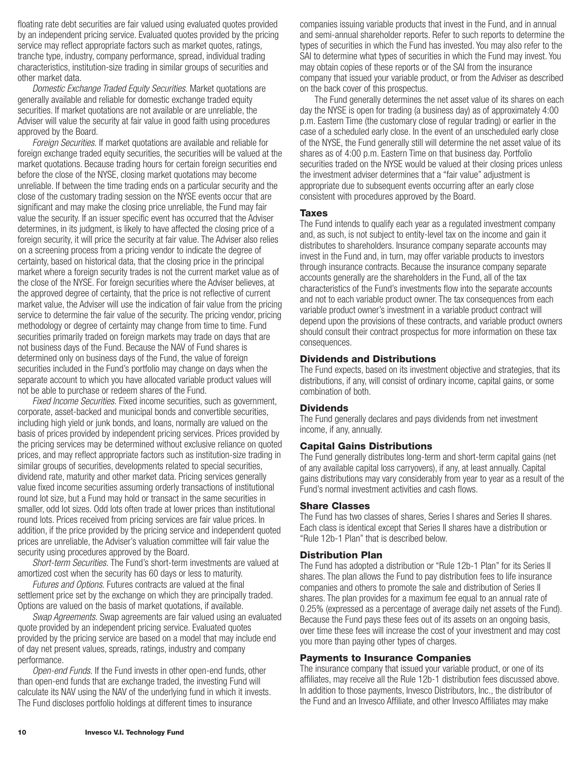<span id="page-11-0"></span>floating rate debt securities are fair valued using evaluated quotes provided by an independent pricing service. Evaluated quotes provided by the pricing service may reflect appropriate factors such as market quotes, ratings, tranche type, industry, company performance, spread, individual trading characteristics, institution-size trading in similar groups of securities and other market data.

*Domestic Exchange Traded Equity Securities.* Market quotations are generally available and reliable for domestic exchange traded equity securities. If market quotations are not available or are unreliable, the Adviser will value the security at fair value in good faith using procedures approved by the Board.

*Foreign Securities.* If market quotations are available and reliable for foreign exchange traded equity securities, the securities will be valued at the market quotations. Because trading hours for certain foreign securities end before the close of the NYSE, closing market quotations may become unreliable. If between the time trading ends on a particular security and the close of the customary trading session on the NYSE events occur that are significant and may make the closing price unreliable, the Fund may fair value the security. If an issuer specific event has occurred that the Adviser determines, in its judgment, is likely to have affected the closing price of a foreign security, it will price the security at fair value. The Adviser also relies on a screening process from a pricing vendor to indicate the degree of certainty, based on historical data, that the closing price in the principal market where a foreign security trades is not the current market value as of the close of the NYSE. For foreign securities where the Adviser believes, at the approved degree of certainty, that the price is not reflective of current market value, the Adviser will use the indication of fair value from the pricing service to determine the fair value of the security. The pricing vendor, pricing methodology or degree of certainty may change from time to time. Fund securities primarily traded on foreign markets may trade on days that are not business days of the Fund. Because the NAV of Fund shares is determined only on business days of the Fund, the value of foreign securities included in the Fund's portfolio may change on days when the separate account to which you have allocated variable product values will not be able to purchase or redeem shares of the Fund.

*Fixed Income Securities.* Fixed income securities, such as government, corporate, asset-backed and municipal bonds and convertible securities, including high yield or junk bonds, and loans, normally are valued on the basis of prices provided by independent pricing services. Prices provided by the pricing services may be determined without exclusive reliance on quoted prices, and may reflect appropriate factors such as institution-size trading in similar groups of securities, developments related to special securities, dividend rate, maturity and other market data. Pricing services generally value fixed income securities assuming orderly transactions of institutional round lot size, but a Fund may hold or transact in the same securities in smaller, odd lot sizes. Odd lots often trade at lower prices than institutional round lots. Prices received from pricing services are fair value prices. In addition, if the price provided by the pricing service and independent quoted prices are unreliable, the Adviser's valuation committee will fair value the security using procedures approved by the Board.

*Short-term Securities.* The Fund's short-term investments are valued at amortized cost when the security has 60 days or less to maturity.

*Futures and Options.* Futures contracts are valued at the final settlement price set by the exchange on which they are principally traded. Options are valued on the basis of market quotations, if available.

*Swap Agreements.* Swap agreements are fair valued using an evaluated quote provided by an independent pricing service. Evaluated quotes provided by the pricing service are based on a model that may include end of day net present values, spreads, ratings, industry and company performance.

*Open-end Funds.* If the Fund invests in other open-end funds, other than open-end funds that are exchange traded, the investing Fund will calculate its NAV using the NAV of the underlying fund in which it invests. The Fund discloses portfolio holdings at different times to insurance

companies issuing variable products that invest in the Fund, and in annual and semi-annual shareholder reports. Refer to such reports to determine the types of securities in which the Fund has invested. You may also refer to the SAI to determine what types of securities in which the Fund may invest. You may obtain copies of these reports or of the SAI from the insurance company that issued your variable product, or from the Adviser as described on the back cover of this prospectus.

The Fund generally determines the net asset value of its shares on each day the NYSE is open for trading (a business day) as of approximately 4:00 p.m. Eastern Time (the customary close of regular trading) or earlier in the case of a scheduled early close. In the event of an unscheduled early close of the NYSE, the Fund generally still will determine the net asset value of its shares as of 4:00 p.m. Eastern Time on that business day. Portfolio securities traded on the NYSE would be valued at their closing prices unless the investment adviser determines that a "fair value" adjustment is appropriate due to subsequent events occurring after an early close consistent with procedures approved by the Board.

### **Taxes**

The Fund intends to qualify each year as a regulated investment company and, as such, is not subject to entity-level tax on the income and gain it distributes to shareholders. Insurance company separate accounts may invest in the Fund and, in turn, may offer variable products to investors through insurance contracts. Because the insurance company separate accounts generally are the shareholders in the Fund, all of the tax characteristics of the Fund's investments flow into the separate accounts and not to each variable product owner. The tax consequences from each variable product owner's investment in a variable product contract will depend upon the provisions of these contracts, and variable product owners should consult their contract prospectus for more information on these tax consequences.

### **Dividends and Distributions**

The Fund expects, based on its investment objective and strategies, that its distributions, if any, will consist of ordinary income, capital gains, or some combination of both.

### **Dividends**

The Fund generally declares and pays dividends from net investment income, if any, annually.

### **Capital Gains Distributions**

The Fund generally distributes long-term and short-term capital gains (net of any available capital loss carryovers), if any, at least annually. Capital gains distributions may vary considerably from year to year as a result of the Fund's normal investment activities and cash flows.

#### **Share Classes**

The Fund has two classes of shares, Series I shares and Series II shares. Each class is identical except that Series II shares have a distribution or "Rule 12b-1 Plan" that is described below.

#### **Distribution Plan**

The Fund has adopted a distribution or "Rule 12b-1 Plan" for its Series II shares. The plan allows the Fund to pay distribution fees to life insurance companies and others to promote the sale and distribution of Series II shares. The plan provides for a maximum fee equal to an annual rate of 0.25% (expressed as a percentage of average daily net assets of the Fund). Because the Fund pays these fees out of its assets on an ongoing basis, over time these fees will increase the cost of your investment and may cost you more than paying other types of charges.

### **Payments to Insurance Companies**

The insurance company that issued your variable product, or one of its affiliates, may receive all the Rule 12b-1 distribution fees discussed above. In addition to those payments, Invesco Distributors, Inc., the distributor of the Fund and an Invesco Affiliate, and other Invesco Affiliates may make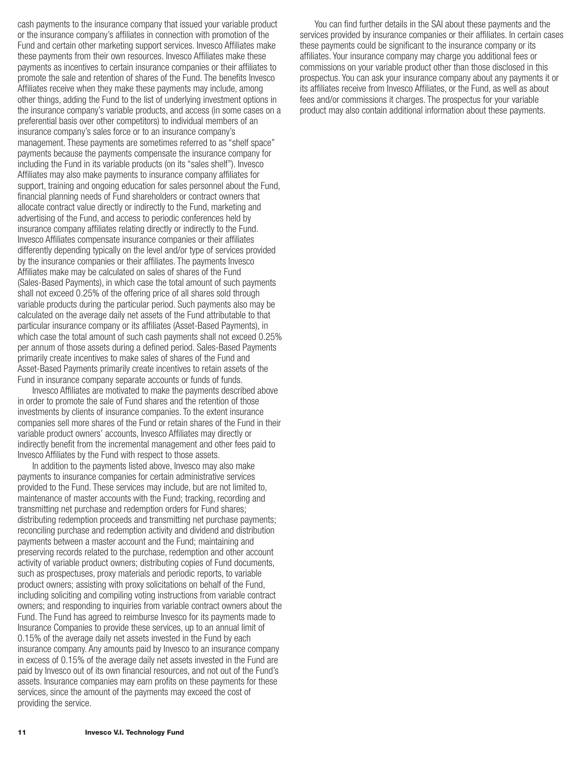cash payments to the insurance company that issued your variable product or the insurance company's affiliates in connection with promotion of the Fund and certain other marketing support services. Invesco Affiliates make these payments from their own resources. Invesco Affiliates make these payments as incentives to certain insurance companies or their affiliates to promote the sale and retention of shares of the Fund. The benefits Invesco Affiliates receive when they make these payments may include, among other things, adding the Fund to the list of underlying investment options in the insurance company's variable products, and access (in some cases on a preferential basis over other competitors) to individual members of an insurance company's sales force or to an insurance company's management. These payments are sometimes referred to as "shelf space" payments because the payments compensate the insurance company for including the Fund in its variable products (on its "sales shelf"). Invesco Affiliates may also make payments to insurance company affiliates for support, training and ongoing education for sales personnel about the Fund, financial planning needs of Fund shareholders or contract owners that allocate contract value directly or indirectly to the Fund, marketing and advertising of the Fund, and access to periodic conferences held by insurance company affiliates relating directly or indirectly to the Fund. Invesco Affiliates compensate insurance companies or their affiliates differently depending typically on the level and/or type of services provided by the insurance companies or their affiliates. The payments Invesco Affiliates make may be calculated on sales of shares of the Fund (Sales-Based Payments), in which case the total amount of such payments shall not exceed 0.25% of the offering price of all shares sold through variable products during the particular period. Such payments also may be calculated on the average daily net assets of the Fund attributable to that particular insurance company or its affiliates (Asset-Based Payments), in which case the total amount of such cash payments shall not exceed 0.25% per annum of those assets during a defined period. Sales-Based Payments primarily create incentives to make sales of shares of the Fund and Asset-Based Payments primarily create incentives to retain assets of the Fund in insurance company separate accounts or funds of funds.

Invesco Affiliates are motivated to make the payments described above in order to promote the sale of Fund shares and the retention of those investments by clients of insurance companies. To the extent insurance companies sell more shares of the Fund or retain shares of the Fund in their variable product owners' accounts, Invesco Affiliates may directly or indirectly benefit from the incremental management and other fees paid to Invesco Affiliates by the Fund with respect to those assets.

In addition to the payments listed above, Invesco may also make payments to insurance companies for certain administrative services provided to the Fund. These services may include, but are not limited to, maintenance of master accounts with the Fund; tracking, recording and transmitting net purchase and redemption orders for Fund shares; distributing redemption proceeds and transmitting net purchase payments; reconciling purchase and redemption activity and dividend and distribution payments between a master account and the Fund; maintaining and preserving records related to the purchase, redemption and other account activity of variable product owners; distributing copies of Fund documents, such as prospectuses, proxy materials and periodic reports, to variable product owners; assisting with proxy solicitations on behalf of the Fund, including soliciting and compiling voting instructions from variable contract owners; and responding to inquiries from variable contract owners about the Fund. The Fund has agreed to reimburse Invesco for its payments made to Insurance Companies to provide these services, up to an annual limit of 0.15% of the average daily net assets invested in the Fund by each insurance company. Any amounts paid by Invesco to an insurance company in excess of 0.15% of the average daily net assets invested in the Fund are paid by Invesco out of its own financial resources, and not out of the Fund's assets. Insurance companies may earn profits on these payments for these services, since the amount of the payments may exceed the cost of providing the service.

You can find further details in the SAI about these payments and the services provided by insurance companies or their affiliates. In certain cases these payments could be significant to the insurance company or its affiliates. Your insurance company may charge you additional fees or commissions on your variable product other than those disclosed in this prospectus. You can ask your insurance company about any payments it or its affiliates receive from Invesco Affiliates, or the Fund, as well as about fees and/or commissions it charges. The prospectus for your variable product may also contain additional information about these payments.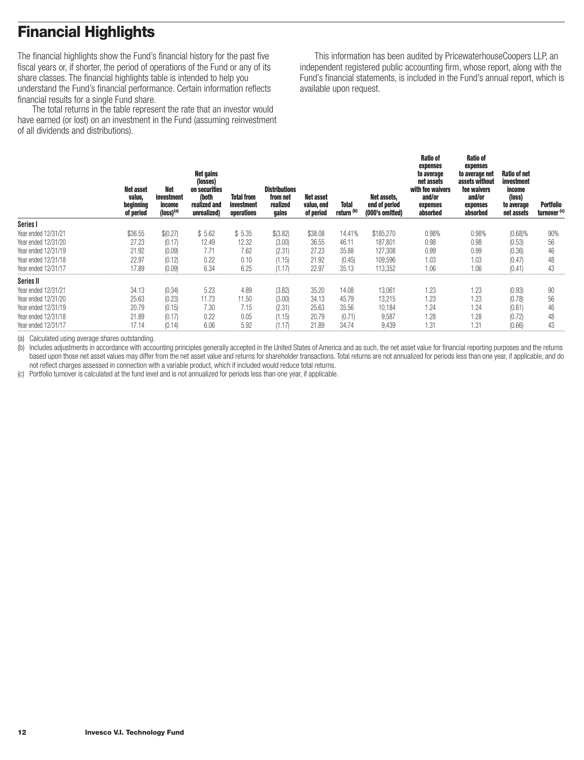# <span id="page-13-0"></span>**Financial Highlights**

The financial highlights show the Fund's financial history for the past five fiscal years or, if shorter, the period of operations of the Fund or any of its share classes. The financial highlights table is intended to help you understand the Fund's financial performance. Certain information reflects financial results for a single Fund share.

The total returns in the table represent the rate that an investor would have earned (or lost) on an investment in the Fund (assuming reinvestment of all dividends and distributions).

This information has been audited by PricewaterhouseCoopers LLP, an independent registered public accounting firm, whose report, along with the Fund's financial statements, is included in the Fund's annual report, which is available upon request.

|                     | <b>Net asset</b><br>value,<br>beginning<br>of period | <b>Net</b><br>investment<br>income<br>$(logs)^{(a)}$ | Net gains<br>(losses)<br>on securities<br>(both<br>realized and<br>unrealized) | <b>Total from</b><br>investment<br>operations | <b>Distributions</b><br>from net<br>realized<br>gains | <b>Net asset</b><br>value, end<br>of period | <b>Total</b><br>return <sup>(b)</sup> | Net assets,<br>end of period<br>(000's omitted) | Ratio of<br>expenses<br>to average<br>net assets<br>with fee waivers<br>and/or<br>expenses<br>absorbed | <b>Ratio of</b><br>expenses<br>to average net<br>assets without<br>fee waivers<br>and/or<br>expenses<br>absorbed | <b>Ratio of net</b><br>investment<br>income<br>(loss)<br>to average<br>net assets | <b>Portfolio</b><br>turnover <sup>(c)</sup> |
|---------------------|------------------------------------------------------|------------------------------------------------------|--------------------------------------------------------------------------------|-----------------------------------------------|-------------------------------------------------------|---------------------------------------------|---------------------------------------|-------------------------------------------------|--------------------------------------------------------------------------------------------------------|------------------------------------------------------------------------------------------------------------------|-----------------------------------------------------------------------------------|---------------------------------------------|
| Series I            |                                                      |                                                      |                                                                                |                                               |                                                       |                                             |                                       |                                                 |                                                                                                        |                                                                                                                  |                                                                                   |                                             |
| Year ended 12/31/21 | \$36.55                                              | \$(0.27)                                             | \$5.62                                                                         | \$5.35                                        | \$(3.82)                                              | \$38.08                                     | 14.41%                                | \$185,270                                       | 0.98%                                                                                                  | 0.98%                                                                                                            | $(0.68)\%$                                                                        | 90%                                         |
| Year ended 12/31/20 | 27.23                                                | (0.17)                                               | 12.49                                                                          | 12.32                                         | (3.00)                                                | 36.55                                       | 46.11                                 | 187,801                                         | 0.98                                                                                                   | 0.98                                                                                                             | (0.53)                                                                            | 56                                          |
| Year ended 12/31/19 | 21.92                                                | (0.09)                                               | 7.71                                                                           | 7.62                                          | (2.31)                                                | 27.23                                       | 35.88                                 | 127,308                                         | 0.99                                                                                                   | 0.99                                                                                                             | (0.36)                                                                            | 46                                          |
| Year ended 12/31/18 | 22.97                                                | (0.12)                                               | 0.22                                                                           | 0.10                                          | (1.15)                                                | 21.92                                       | (0.45)                                | 109,596                                         | 1.03                                                                                                   | 1.03                                                                                                             | (0.47)                                                                            | 48                                          |
| Year ended 12/31/17 | 17.89                                                | (0.09)                                               | 6.34                                                                           | 6.25                                          | (1.17)                                                | 22.97                                       | 35.13                                 | 113.352                                         | 1.06                                                                                                   | 1.06                                                                                                             | (0.41)                                                                            | 43                                          |
| <b>Series II</b>    |                                                      |                                                      |                                                                                |                                               |                                                       |                                             |                                       |                                                 |                                                                                                        |                                                                                                                  |                                                                                   |                                             |
| Year ended 12/31/21 | 34.13                                                | (0.34)                                               | 5.23                                                                           | 4.89                                          | (3.82)                                                | 35.20                                       | 14.08                                 | 13,061                                          | 1.23                                                                                                   | 1.23                                                                                                             | (0.93)                                                                            | 90                                          |
| Year ended 12/31/20 | 25.63                                                | (0.23)                                               | 11.73                                                                          | 11.50                                         | (3.00)                                                | 34.13                                       | 45.79                                 | 13,215                                          | 1.23                                                                                                   | 1.23                                                                                                             | (0.78)                                                                            | 56                                          |
| Year ended 12/31/19 | 20.79                                                | (0.15)                                               | 7.30                                                                           | 7.15                                          | (2.31)                                                | 25.63                                       | 35.56                                 | 10,184                                          | 1.24                                                                                                   | 1.24                                                                                                             | (0.61)                                                                            | 46                                          |
| Year ended 12/31/18 | 21.89                                                | (0.17)                                               | 0.22                                                                           | 0.05                                          | (1.15)                                                | 20.79                                       | (0.71)                                | 9,587                                           | 1.28                                                                                                   | 1.28                                                                                                             | (0.72)                                                                            | 48                                          |
| Year ended 12/31/17 | 17.14                                                | (0.14)                                               | 6.06                                                                           | 5.92                                          | .1.17                                                 | 21.89                                       | 34.74                                 | 9.439                                           | 1.31                                                                                                   | 1.31                                                                                                             | (0.66)                                                                            | 43                                          |

(a) Calculated using average shares outstanding.

(b) Includes adjustments in accordance with accounting principles generally accepted in the United States of America and as such, the net asset value for financial reporting purposes and the returns based upon those net asset values may differ from the net asset value and returns for shareholder transactions. Total returns are not annualized for periods less than one year, if applicable, and do not reflect charges assessed in connection with a variable product, which if included would reduce total returns.

(c) Portfolio turnover is calculated at the fund level and is not annualized for periods less than one year, if applicable.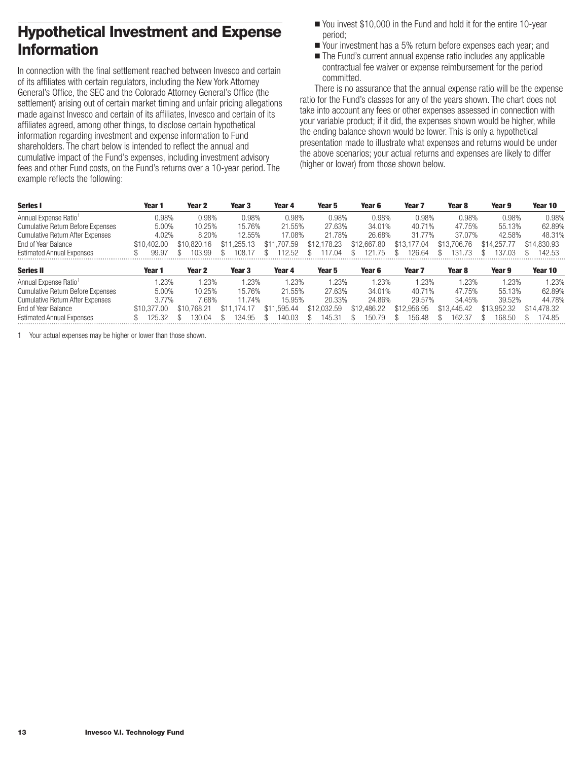# <span id="page-14-0"></span>**Hypothetical Investment and Expense Information**

In connection with the final settlement reached between Invesco and certain of its affiliates with certain regulators, including the New York Attorney General's Office, the SEC and the Colorado Attorney General's Office (the settlement) arising out of certain market timing and unfair pricing allegations made against Invesco and certain of its affiliates, Invesco and certain of its affiliates agreed, among other things, to disclose certain hypothetical information regarding investment and expense information to Fund shareholders. The chart below is intended to reflect the annual and cumulative impact of the Fund's expenses, including investment advisory fees and other Fund costs, on the Fund's returns over a 10-year period. The example reflects the following:

- You invest \$10,000 in the Fund and hold it for the entire 10-year period;
- Your investment has a 5% return before expenses each year; and
- The Fund's current annual expense ratio includes any applicable contractual fee waiver or expense reimbursement for the period committed.

There is no assurance that the annual expense ratio will be the expense ratio for the Fund's classes for any of the years shown. The chart does not take into account any fees or other expenses assessed in connection with your variable product; if it did, the expenses shown would be higher, while the ending balance shown would be lower. This is only a hypothetical presentation made to illustrate what expenses and returns would be under the above scenarios; your actual returns and expenses are likely to differ (higher or lower) from those shown below.

| Series I                                 | Year 1      | Year 2      | Year 3      | Year 4           | Year 5      | Year 6      | Year <sub>7</sub> | Year 8      | Year 9      | Year 10     |
|------------------------------------------|-------------|-------------|-------------|------------------|-------------|-------------|-------------------|-------------|-------------|-------------|
| Annual Expense Ratio <sup>1</sup>        | 0.98%       | 0.98%       | 0.98%       | 0.98%            | 0.98%       | 0.98%       | 0.98%             | 0.98%       | 0.98%       | 0.98%       |
| <b>Cumulative Return Before Expenses</b> | $5.00\%$    | 10.25%      | 15.76%      | 21.55%           | 27.63%      | 34.01%      | 40.71%            | 47.75%      | 55.13%      | 62.89%      |
| <b>Cumulative Return After Expenses</b>  | 4.02%       | 8.20%       | 12.55%      | 17.08%           | 21.78%      | 26.68%      | 31.77%            | 37.07%      | 42.58%      | 48.31%      |
| End of Year Balance                      | \$10,402,00 | \$10.820.16 | \$11,255.13 | .707.59<br>\$11  | \$12,178.23 | \$12,667.80 | \$13.177.04       | \$13,706.76 | \$14,257,77 | \$14,830.93 |
| <b>Estimated Annual Expenses</b>         | 99.97       | 103.99      | 108.1.      | 12.52            | 117.04      | .75<br>121  | 126.64            | 131<br>-73  | 137.03      | 142.53      |
| <b>Series II</b>                         | Year 1      | Year 2      | Year 3      | Year 4           | Year 5      | Year 6      | Year <sub>7</sub> | Year 8      | Year 9      | Year 10     |
| Annual Expense Ratio <sup>1</sup>        | .23%        | 1.23%       | 1.23%       | 1.23%            | .23%        | .23%        | .23%              | .23%        | .23%        | 1.23%       |
| <b>Cumulative Return Before Expenses</b> | 5.00%       | 10.25%      | 15.76%      | 21.55%           | 27.63%      | 34.01%      | 40.71%            | 47.75%      | 55.13%      | 62.89%      |
| <b>Cumulative Return After Expenses</b>  | 3.77%       | 7.68%       | 11.74%      | 15.95%           | 20.33%      | 24.86%      | 29.57%            | 34.45%      | 39.52%      | 44.78%      |
| End of Year Balance                      | \$10.377.00 | \$10.768.21 | \$11.174.17 | 1.595.44<br>\$11 | \$12,032.59 | \$12,486.22 | \$12,956.95       | \$13,445.42 | \$13,952.32 | \$14,478.32 |
| <b>Estimated Annual Expenses</b>         | 32          | 30.04       | 134.95      | 140.03           | 145.31      | 150.79      | 156.48            | 162.37      | 168.50      | 74.85       |

1 Your actual expenses may be higher or lower than those shown.